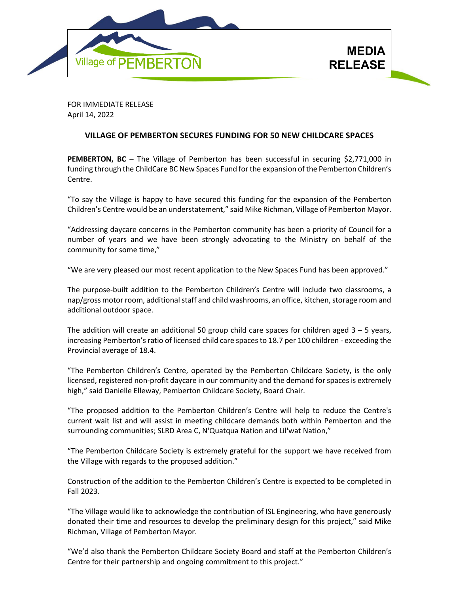

FOR IMMEDIATE RELEASE April 14, 2022

## **VILLAGE OF PEMBERTON SECURES FUNDING FOR 50 NEW CHILDCARE SPACES**

**PEMBERTON, BC** – The Village of Pemberton has been successful in securing \$2,771,000 in funding through the ChildCare BC New Spaces Fund for the expansion of the Pemberton Children's Centre.

"To say the Village is happy to have secured this funding for the expansion of the Pemberton Children's Centre would be an understatement," said Mike Richman, Village of Pemberton Mayor.

"Addressing daycare concerns in the Pemberton community has been a priority of Council for a number of years and we have been strongly advocating to the Ministry on behalf of the community for some time,"

"We are very pleased our most recent application to the New Spaces Fund has been approved."

The purpose-built addition to the Pemberton Children's Centre will include two classrooms, a nap/gross motor room, additional staff and child washrooms, an office, kitchen, storage room and additional outdoor space.

The addition will create an additional 50 group child care spaces for children aged 3 – 5 years, increasing Pemberton's ratio of licensed child care spaces to 18.7 per 100 children - exceeding the Provincial average of 18.4.

"The Pemberton Children's Centre, operated by the Pemberton Childcare Society, is the only licensed, registered non-profit daycare in our community and the demand for spaces is extremely high," said Danielle Elleway, Pemberton Childcare Society, Board Chair.

"The proposed addition to the Pemberton Children's Centre will help to reduce the Centre's current wait list and will assist in meeting childcare demands both within Pemberton and the surrounding communities; SLRD Area C, N'Quatqua Nation and Lil'wat Nation,"

"The Pemberton Childcare Society is extremely grateful for the support we have received from the Village with regards to the proposed addition."

Construction of the addition to the Pemberton Children's Centre is expected to be completed in Fall 2023.

"The Village would like to acknowledge the contribution of ISL Engineering, who have generously donated their time and resources to develop the preliminary design for this project," said Mike Richman, Village of Pemberton Mayor.

"We'd also thank the Pemberton Childcare Society Board and staff at the Pemberton Children's Centre for their partnership and ongoing commitment to this project."